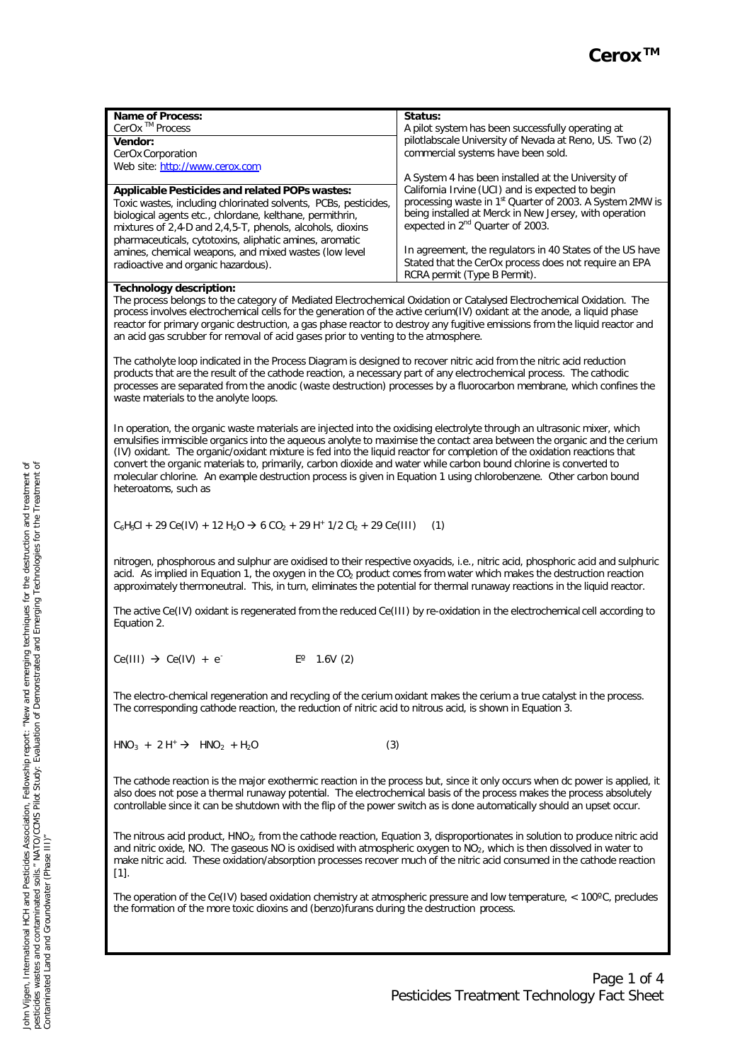| <b>Name of Process:</b>                                                                                                                                                                                                      | Status:                                                                                                                  |
|------------------------------------------------------------------------------------------------------------------------------------------------------------------------------------------------------------------------------|--------------------------------------------------------------------------------------------------------------------------|
| CerOx <sup>™</sup> Process                                                                                                                                                                                                   | A pilot system has been successfully operating at                                                                        |
| <b>Vendor:</b>                                                                                                                                                                                                               | pilotlabscale University of Nevada at Reno, US. Two (2)                                                                  |
| CerOx Corporation                                                                                                                                                                                                            | commercial systems have been sold.                                                                                       |
| Web site: http://www.cerox.com                                                                                                                                                                                               |                                                                                                                          |
|                                                                                                                                                                                                                              | A System 4 has been installed at the University of                                                                       |
| Applicable Pesticides and related POPs wastes:                                                                                                                                                                               | California Irvine (UCI) and is expected to begin<br>processing waste in 1 <sup>st</sup> Quarter of 2003. A System 2MW is |
| Toxic wastes, including chlorinated solvents, PCBs, pesticides,                                                                                                                                                              | being installed at Merck in New Jersey, with operation                                                                   |
| biological agents etc., chlordane, kelthane, permithrin,<br>mixtures of 2,4-D and 2,4,5-T, phenols, alcohols, dioxins                                                                                                        | expected in 2 <sup>nd</sup> Quarter of 2003.                                                                             |
| pharmaceuticals, cytotoxins, aliphatic amines, aromatic                                                                                                                                                                      |                                                                                                                          |
| amines, chemical weapons, and mixed wastes (low level                                                                                                                                                                        | In agreement, the regulators in 40 States of the US have                                                                 |
| radioactive and organic hazardous).                                                                                                                                                                                          | Stated that the CerOx process does not require an EPA                                                                    |
|                                                                                                                                                                                                                              | RCRA permit (Type B Permit).                                                                                             |
| <b>Technology description:</b>                                                                                                                                                                                               |                                                                                                                          |
| The process belongs to the category of Mediated Electrochemical Oxidation or Catalysed Electrochemical Oxidation. The                                                                                                        |                                                                                                                          |
| process involves electrochemical cells for the generation of the active cerium(IV) oxidant at the anode, a liquid phase                                                                                                      |                                                                                                                          |
| reactor for primary organic destruction, a gas phase reactor to destroy any fugitive emissions from the liquid reactor and                                                                                                   |                                                                                                                          |
| an acid gas scrubber for removal of acid gases prior to venting to the atmosphere.                                                                                                                                           |                                                                                                                          |
|                                                                                                                                                                                                                              |                                                                                                                          |
| The catholyte loop indicated in the Process Diagram is designed to recover nitric acid from the nitric acid reduction                                                                                                        |                                                                                                                          |
| products that are the result of the cathode reaction, a necessary part of any electrochemical process. The cathodic                                                                                                          |                                                                                                                          |
| processes are separated from the anodic (waste destruction) processes by a fluorocarbon membrane, which confines the<br>waste materials to the anolyte loops.                                                                |                                                                                                                          |
|                                                                                                                                                                                                                              |                                                                                                                          |
|                                                                                                                                                                                                                              |                                                                                                                          |
| In operation, the organic waste materials are injected into the oxidising electrolyte through an ultrasonic mixer, which                                                                                                     |                                                                                                                          |
| emulsifies immiscible organics into the aqueous anolyte to maximise the contact area between the organic and the cerium                                                                                                      |                                                                                                                          |
| (IV) oxidant. The organic/oxidant mixture is fed into the liquid reactor for completion of the oxidation reactions that                                                                                                      |                                                                                                                          |
| convert the organic materials to, primarily, carbon dioxide and water while carbon bound chlorine is converted to                                                                                                            |                                                                                                                          |
| molecular chlorine. An example destruction process is given in Equation 1 using chlorobenzene. Other carbon bound                                                                                                            |                                                                                                                          |
| heteroatoms, such as                                                                                                                                                                                                         |                                                                                                                          |
|                                                                                                                                                                                                                              |                                                                                                                          |
| $C_6H_5Cl + 29 Ce(IV) + 12 H_2O \rightarrow 6 CO_2 + 29 H^* 1/2 Cl_2 + 29 Ce(III)$                                                                                                                                           | (1)                                                                                                                      |
|                                                                                                                                                                                                                              |                                                                                                                          |
|                                                                                                                                                                                                                              |                                                                                                                          |
| nitrogen, phosphorous and sulphur are oxidised to their respective oxyacids, i.e., nitric acid, phosphoric acid and sulphuric                                                                                                |                                                                                                                          |
| acid. As implied in Equation 1, the oxygen in the CO <sub>2</sub> product comes from water which makes the destruction reaction                                                                                              |                                                                                                                          |
| approximately thermoneutral. This, in turn, eliminates the potential for thermal runaway reactions in the liquid reactor.                                                                                                    |                                                                                                                          |
|                                                                                                                                                                                                                              |                                                                                                                          |
| The active Ce(IV) oxidant is regenerated from the reduced Ce(III) by re-oxidation in the electrochemical cell according to                                                                                                   |                                                                                                                          |
| Equation 2.                                                                                                                                                                                                                  |                                                                                                                          |
|                                                                                                                                                                                                                              |                                                                                                                          |
| $Ce(III) \rightarrow Ce(IV) + e^{-}$<br>$E^{\circ}$ 1.6V (2)                                                                                                                                                                 |                                                                                                                          |
|                                                                                                                                                                                                                              |                                                                                                                          |
|                                                                                                                                                                                                                              |                                                                                                                          |
| The electro-chemical regeneration and recycling of the cerium oxidant makes the cerium a true catalyst in the process.                                                                                                       |                                                                                                                          |
| The corresponding cathode reaction, the reduction of nitric acid to nitrous acid, is shown in Equation 3.                                                                                                                    |                                                                                                                          |
|                                                                                                                                                                                                                              |                                                                                                                          |
|                                                                                                                                                                                                                              |                                                                                                                          |
| $HNO3 + 2 H+ \rightarrow HNO2 + H2O$<br>(3)                                                                                                                                                                                  |                                                                                                                          |
|                                                                                                                                                                                                                              |                                                                                                                          |
|                                                                                                                                                                                                                              |                                                                                                                          |
| The cathode reaction is the major exothermic reaction in the process but, since it only occurs when dc power is applied, it                                                                                                  |                                                                                                                          |
| also does not pose a thermal runaway potential. The electrochemical basis of the process makes the process absolutely                                                                                                        |                                                                                                                          |
| controllable since it can be shutdown with the flip of the power switch as is done automatically should an upset occur.                                                                                                      |                                                                                                                          |
|                                                                                                                                                                                                                              |                                                                                                                          |
| The nitrous acid product, HNO <sub>2</sub> , from the cathode reaction, Equation 3, disproportionates in solution to produce nitric acid                                                                                     |                                                                                                                          |
| and nitric oxide, NO. The gaseous NO is oxidised with atmospheric oxygen to $NO2$ , which is then dissolved in water to                                                                                                      |                                                                                                                          |
| make nitric acid. These oxidation/absorption processes recover much of the nitric acid consumed in the cathode reaction                                                                                                      |                                                                                                                          |
| $[1].$                                                                                                                                                                                                                       |                                                                                                                          |
|                                                                                                                                                                                                                              |                                                                                                                          |
| The operation of the Ce(IV) based oxidation chemistry at atmospheric pressure and low temperature, $< 100^{\circ}$ C, precludes<br>the formation of the more toxic dioxins and (benzo)furans during the destruction process. |                                                                                                                          |
|                                                                                                                                                                                                                              |                                                                                                                          |
|                                                                                                                                                                                                                              |                                                                                                                          |
|                                                                                                                                                                                                                              |                                                                                                                          |
|                                                                                                                                                                                                                              |                                                                                                                          |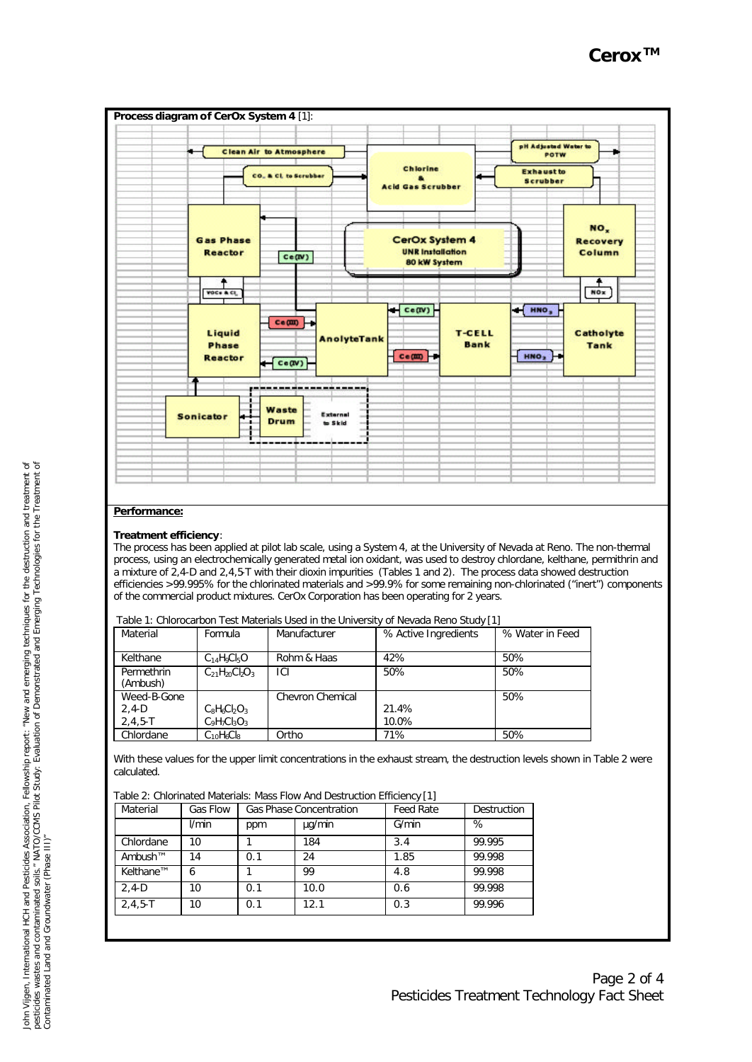

# **Performance:**

# **Treatment efficiency**:

The process has been applied at pilot lab scale, using a System 4, at the University of Nevada at Reno. The non-thermal process, using an electrochemically generated metal ion oxidant, was used to destroy chlordane, kelthane, permithrin and a mixture of 2,4-D and 2,4,5-T with their dioxin impurities (Tables 1 and 2). The process data showed destruction efficiencies >99.995% for the chlorinated materials and >99.9% for some remaining non-chlorinated ("inert") components of the commercial product mixtures. CerOx Corporation has been operating for 2 years.

| Table 1: Chlorocarbon Test Materials Used in the University of Nevada Reno Study [1] |  |
|--------------------------------------------------------------------------------------|--|
|                                                                                      |  |

| Material               | Formula               | Manufacturer     | % Active Ingredients | % Water in Feed |
|------------------------|-----------------------|------------------|----------------------|-----------------|
|                        |                       |                  |                      |                 |
| Kelthane               | $C14H9Cl5O$           | Rohm & Haas      | 42%                  | 50%             |
| Permethrin<br>(Ambush) | $C_{21}H_{20}Cl_2O_3$ | ICI              | 50%                  | 50%             |
| Weed-B-Gone            |                       | Chevron Chemical |                      | 50%             |
| $2.4-D$                | $C_8H_6C_9O_3$        |                  | 21.4%                |                 |
| $2.4.5 - T$            | $C_9H_7Cl_3O_3$       |                  | 10.0%                |                 |
| Chlordane              | $C_{10}H_6Cl_8$       | Ortho            | 71%                  | 50%             |

With these values for the upper limit concentrations in the exhaust stream, the destruction levels shown in Table 2 were calculated.

| Table 2: Chlorinated Materials: Mass Flow And Destruction Efficiency [1] |  |
|--------------------------------------------------------------------------|--|
|--------------------------------------------------------------------------|--|

| Material      | Gas Flow | <b>Gas Phase Concentration</b> |        | <b>Feed Rate</b> | Destruction |
|---------------|----------|--------------------------------|--------|------------------|-------------|
|               | l/min    | ppm                            | µg/min | G/min            | %           |
| Chlordane     | 10       |                                | 184    | 3.4              | 99.995      |
| Ambush™       | 14       | 0.1                            | 24     | 1.85             | 99.998      |
| Kelthane™     | 6        |                                | 99     | 4.8              | 99.998      |
| $2,4-D$       | 10       | 0.1                            | 10.0   | 0.6              | 99.998      |
| $2, 4, 5 - T$ | 10       | 0.1                            | 12.1   | 0.3              | 99.996      |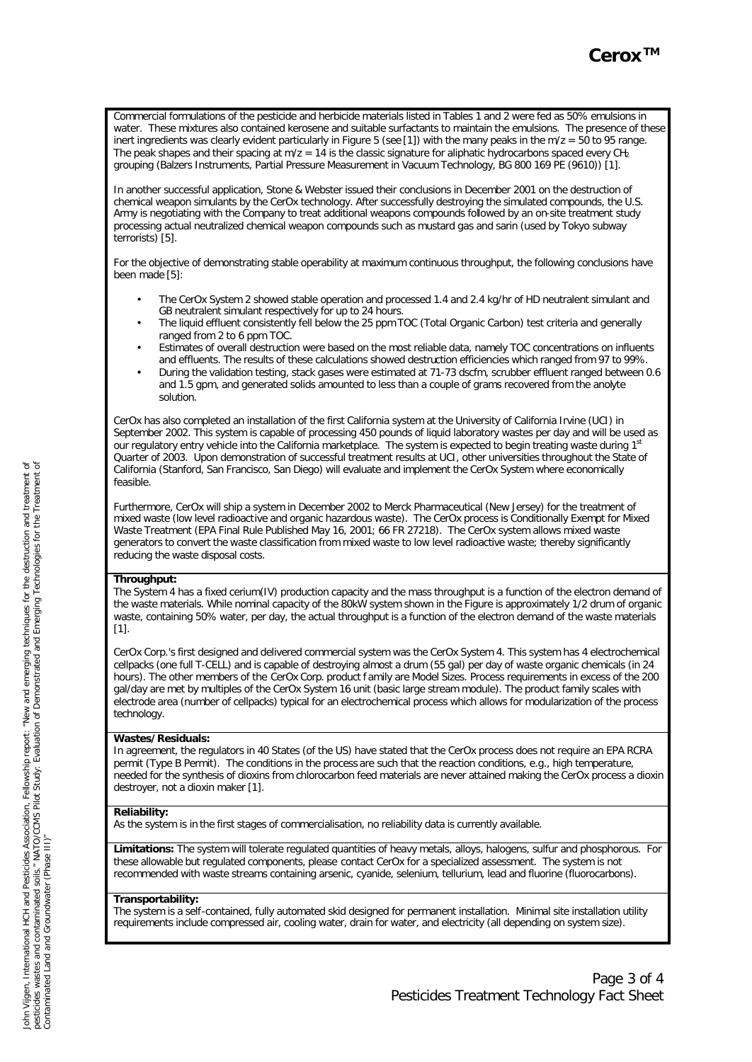Commercial formulations of the pesticide and herbicide materials listed in Tables 1 and 2 were fed as 50% emulsions in water. These mixtures also contained kerosene and suitable surfactants to maintain the emulsions. The presence of these inert ingredients was clearly evident particularly in Figure 5 (see [1]) with the many peaks in the m/z = 50 to 95 range. The peak shapes and their spacing at  $m/z = 14$  is the classic signature for aliphatic hydrocarbons spaced every  $CH<sub>2</sub>$ grouping (Balzers Instruments, Partial Pressure Measurement in Vacuum Technology, BG 800 169 PE (9610)) [1].

In another successful application, Stone & Webster issued their conclusions in December 2001 on the destruction of chemical weapon simulants by the CerOx technology. After successfully destroying the simulated compounds, the U.S. Army is negotiating with the Company to treat additional weapons compounds followed by an on-site treatment study processing actual neutralized chemical weapon compounds such as mustard gas and sarin (used by Tokyo subway terrorists) [5].

For the objective of demonstrating stable operability at maximum continuous throughput, the following conclusions have been made [5]:

- The CerOx System 2 showed stable operation and processed 1.4 and 2.4 kg/hr of HD neutralent simulant and GB neutralent simulant respectively for up to 24 hours.
- The liquid effluent consistently fell below the 25 ppm TOC (Total Organic Carbon) test criteria and generally ranged from 2 to 6 ppm TOC.
- Estimates of overall destruction were based on the most reliable data, namely TOC concentrations on influents and effluents. The results of these calculations showed destruction efficiencies which ranged from 97 to 99%.
- During the validation testing, stack gases were estimated at 71-73 dscfm, scrubber effluent ranged between 0.6 and 1.5 gpm, and generated solids amounted to less than a couple of grams recovered from the anolyte solution.

CerOx has also completed an installation of the first California system at the University of California Irvine (UCI) in September 2002. This system is capable of processing 450 pounds of liquid laboratory wastes per day and will be used as our regulatory entry vehicle into the California marketplace. The system is expected to begin treating waste during 1<sup>st</sup> Quarter of 2003. Upon demonstration of successful treatment results at UCI, other universities throughout the State of California (Stanford, San Francisco, San Diego) will evaluate and implement the CerOx System where economically feasible.

Furthermore, CerOx will ship a system in December 2002 to Merck Pharmaceutical (New Jersey) for the treatment of mixed waste (low level radioactive and organic hazardous waste). The CerOx process is Conditionally Exempt for Mixed Waste Treatment (EPA Final Rule Published May 16, 2001; 66 FR 27218). The CerOx system allows mixed waste generators to convert the waste classification from mixed waste to low level radioactive waste; thereby significantly reducing the waste disposal costs.

### **Throughput:**

The System 4 has a fixed cerium(IV) production capacity and the mass throughput is a function of the electron demand of the waste materials. While nominal capacity of the 80kW system shown in the Figure is approximately 1/2 drum of organic waste, containing 50% water, per day, the actual throughput is a function of the electron demand of the waste materials  $[1]$ .

CerOx Corp.'s first designed and delivered commercial system was the CerOx System 4. This system has 4 electrochemical cellpacks (one full T-CELL) and is capable of destroying almost a drum (55 gal) per day of waste organic chemicals (in 24 hours). The other members of the CerOx Corp. product f amily are Model Sizes. Process requirements in excess of the 200 gal/day are met by multiples of the CerOx System 16 unit (basic large stream module). The product family scales with electrode area (number of cellpacks) typical for an electrochemical process which allows for modularization of the process technology

# **Wastes/Residuals:**

In agreement, the regulators in 40 States (of the US) have stated that the CerOx process does not require an EPA RCRA permit (Type B Permit). The conditions in the process are such that the reaction conditions, e.g., high temperature, needed for the synthesis of dioxins from chlorocarbon feed materials are never attained making the CerOx process a dioxin destroyer, not a dioxin maker [1].

### **Reliability:**

As the system is in the first stages of commercialisation, no reliability data is currently available.

**Limitations:** The system will tolerate regulated quantities of heavy metals, alloys, halogens, sulfur and phosphorous. For these allowable but regulated components, please contact CerOx for a specialized assessment. The system is not recommended with waste streams containing arsenic, cyanide, selenium, tellurium, lead and fluorine (fluorocarbons).

# **Transportability:**

The system is a self-contained, fully automated skid designed for permanent installation. Minimal site installation utility requirements include compressed air, cooling water, drain for water, and electricity (all depending on system size).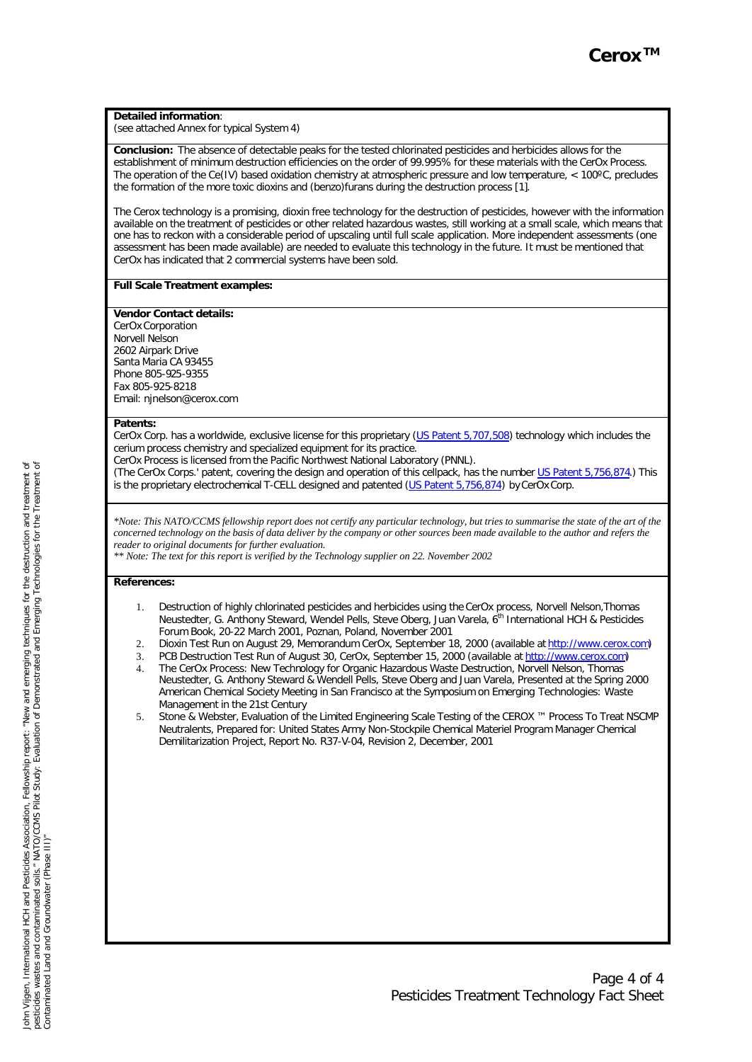#### **Detailed information**:

(see attached Annex for typical System 4)

**Conclusion:** The absence of detectable peaks for the tested chlorinated pesticides and herbicides allows for the establishment of minimum destruction efficiencies on the order of 99.995% for these materials with the CerOx Process. The operation of the Ce(IV) based oxidation chemistry at atmospheric pressure and low temperature,  $< 100^{\circ}$ C, precludes the formation of the more toxic dioxins and (benzo)furans during the destruction process [1].

The Cerox technology is a promising, dioxin free technology for the destruction of pesticides, however with the information available on the treatment of pesticides or other related hazardous wastes, still working at a small scale, which means that one has to reckon with a considerable period of upscaling until full scale application. More independent assessments (one assessment has been made available) are needed to evaluate this technology in the future. It must be mentioned that CerOx has indicated that 2 commercial systems have been sold.

#### **Full Scale Treatment examples:**

#### **Vendor Contact details:**

CerOx Corporation Norvell Nelson 2602 Airpark Drive Santa Maria CA 93455 Phone 805-925-9355 Fax 805-925-8218 Email: njnelson@cerox.com

#### **Patents:**

CerOx Corp. has a worldwide, exclusive license for this proprietary (US Patent 5,707,508) technology which includes the cerium process chemistry and specialized equipment for its practice.

CerOx Process is licensed from the Pacific Northwest National Laboratory (PNNL).

(The CerOx Corps.' patent, covering the design and operation of this cellpack, has the number US Patent 5,756,874.) This is the proprietary electrochemical T-CELL designed and patented (US Patent 5,756,874) by CerOx Corp.

*\*Note: This NATO/CCMS fellowship report does not certify any particular technology, but tries to summarise the state of the art of the concerned technology on the basis of data deliver by the company or other sources been made available to the author and refers the reader to original documents for further evaluation.*

*\*\* Note: The text for this report is verified by the Technology supplier on 22. November 2002*

#### **References:**

- 1. Destruction of highly chlorinated pesticides and herbicides using the CerOx process, Norvell Nelson,Thomas Neustedter, G. Anthony Steward, Wendel Pells, Steve Oberg, Juan Varela, 6th International HCH & Pesticides Forum Book, 20-22 March 2001, Poznan, Poland, November 2001
- 2. Dioxin Test Run on August 29, Memorandum CerOx, September 18, 2000 (available at http://www.cerox.com)
- 3. PCB Destruction Test Run of August 30, CerOx, September 15, 2000 (available at http://www.cerox.com)
- 4. The CerOx Process: New Technology for Organic Hazardous Waste Destruction, Norvell Nelson, Thomas Neustedter, G. Anthony Steward & Wendell Pells, Steve Oberg and Juan Varela, Presented at the Spring 2000 American Chemical Society Meeting in San Francisco at the Symposium on Emerging Technologies: Waste Management in the 21st Century
- 5. Stone & Webster, Evaluation of the Limited Engineering Scale Testing of the CEROX ™ Process To Treat NSCMP Neutralents, Prepared for: United States Army Non-Stockpile Chemical Materiel Program Manager Chemical Demilitarization Project, Report No. R37-V-04, Revision 2, December, 2001